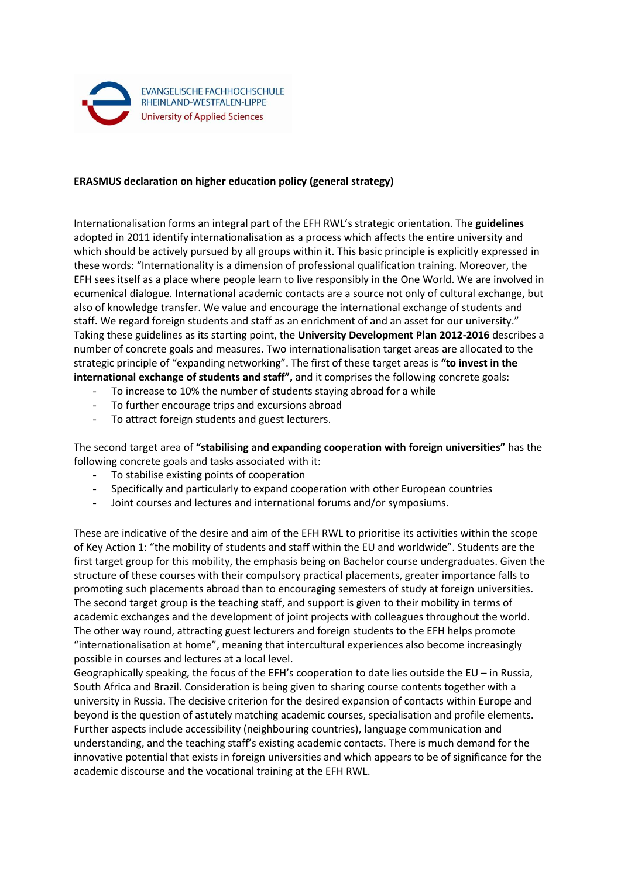

## **ERASMUS declaration on higher education policy (general strategy)**

Internationalisation forms an integral part of the EFH RWL's strategic orientation. The **guidelines** adopted in 2011 identify internationalisation as a process which affects the entire university and which should be actively pursued by all groups within it. This basic principle is explicitly expressed in these words: "Internationality is a dimension of professional qualification training. Moreover, the EFH sees itself as a place where people learn to live responsibly in the One World. We are involved in ecumenical dialogue. International academic contacts are a source not only of cultural exchange, but also of knowledge transfer. We value and encourage the international exchange of students and staff. We regard foreign students and staff as an enrichment of and an asset for our university." Taking these guidelines as its starting point, the **University Development Plan 2012-2016** describes a number of concrete goals and measures. Two internationalisation target areas are allocated to the strategic principle of "expanding networking". The first of these target areas is **"to invest in the international exchange of students and staff",** and it comprises the following concrete goals:

- To increase to 10% the number of students staying abroad for a while
- To further encourage trips and excursions abroad
- To attract foreign students and guest lecturers.

The second target area of **"stabilising and expanding cooperation with foreign universities"** has the following concrete goals and tasks associated with it:

- To stabilise existing points of cooperation
- Specifically and particularly to expand cooperation with other European countries
- Joint courses and lectures and international forums and/or symposiums.

These are indicative of the desire and aim of the EFH RWL to prioritise its activities within the scope of Key Action 1: "the mobility of students and staff within the EU and worldwide". Students are the first target group for this mobility, the emphasis being on Bachelor course undergraduates. Given the structure of these courses with their compulsory practical placements, greater importance falls to promoting such placements abroad than to encouraging semesters of study at foreign universities. The second target group is the teaching staff, and support is given to their mobility in terms of academic exchanges and the development of joint projects with colleagues throughout the world. The other way round, attracting guest lecturers and foreign students to the EFH helps promote "internationalisation at home", meaning that intercultural experiences also become increasingly possible in courses and lectures at a local level.

Geographically speaking, the focus of the EFH's cooperation to date lies outside the EU – in Russia, South Africa and Brazil. Consideration is being given to sharing course contents together with a university in Russia. The decisive criterion for the desired expansion of contacts within Europe and beyond is the question of astutely matching academic courses, specialisation and profile elements. Further aspects include accessibility (neighbouring countries), language communication and understanding, and the teaching staff's existing academic contacts. There is much demand for the innovative potential that exists in foreign universities and which appears to be of significance for the academic discourse and the vocational training at the EFH RWL.